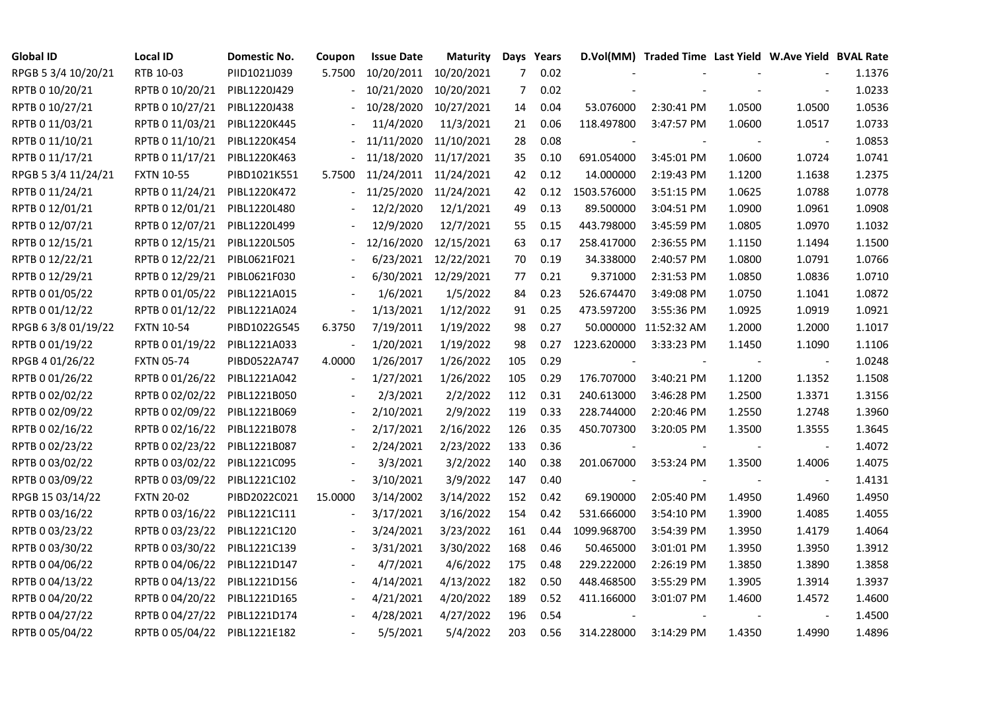| <b>Global ID</b>    | Local ID          | Domestic No. | Coupon                   | <b>Issue Date</b> | <b>Maturity</b>      |     | Days Years |             | D.Vol(MM) Traded Time Last Yield W.Ave Yield BVAL Rate |        |                |        |
|---------------------|-------------------|--------------|--------------------------|-------------------|----------------------|-----|------------|-------------|--------------------------------------------------------|--------|----------------|--------|
| RPGB 5 3/4 10/20/21 | RTB 10-03         | PIID1021J039 | 5.7500                   | 10/20/2011        | 10/20/2021           | 7   | 0.02       |             |                                                        |        |                | 1.1376 |
| RPTB 0 10/20/21     | RPTB 0 10/20/21   | PIBL1220J429 |                          | 10/21/2020        | 10/20/2021           | 7   | 0.02       |             |                                                        |        |                | 1.0233 |
| RPTB 0 10/27/21     | RPTB 0 10/27/21   | PIBL1220J438 |                          | 10/28/2020        | 10/27/2021           | 14  | 0.04       | 53.076000   | 2:30:41 PM                                             | 1.0500 | 1.0500         | 1.0536 |
| RPTB 0 11/03/21     | RPTB 0 11/03/21   | PIBL1220K445 |                          | 11/4/2020         | 11/3/2021            | 21  | 0.06       | 118.497800  | 3:47:57 PM                                             | 1.0600 | 1.0517         | 1.0733 |
| RPTB 0 11/10/21     | RPTB 0 11/10/21   | PIBL1220K454 |                          | 11/11/2020        | 11/10/2021           | 28  | 0.08       |             |                                                        |        |                | 1.0853 |
| RPTB 0 11/17/21     | RPTB 0 11/17/21   | PIBL1220K463 |                          | 11/18/2020        | 11/17/2021           | 35  | 0.10       | 691.054000  | 3:45:01 PM                                             | 1.0600 | 1.0724         | 1.0741 |
| RPGB 5 3/4 11/24/21 | <b>FXTN 10-55</b> | PIBD1021K551 | 5.7500                   | 11/24/2011        | 11/24/2021           | 42  | 0.12       | 14.000000   | 2:19:43 PM                                             | 1.1200 | 1.1638         | 1.2375 |
| RPTB 0 11/24/21     | RPTB 0 11/24/21   | PIBL1220K472 |                          | 11/25/2020        | 11/24/2021           | 42  | 0.12       | 1503.576000 | 3:51:15 PM                                             | 1.0625 | 1.0788         | 1.0778 |
| RPTB 0 12/01/21     | RPTB 0 12/01/21   | PIBL1220L480 |                          | 12/2/2020         | 12/1/2021            | 49  | 0.13       | 89.500000   | 3:04:51 PM                                             | 1.0900 | 1.0961         | 1.0908 |
| RPTB 0 12/07/21     | RPTB 0 12/07/21   | PIBL1220L499 |                          | 12/9/2020         | 12/7/2021            | 55  | 0.15       | 443.798000  | 3:45:59 PM                                             | 1.0805 | 1.0970         | 1.1032 |
| RPTB 0 12/15/21     | RPTB 0 12/15/21   | PIBL1220L505 |                          | 12/16/2020        | 12/15/2021           | 63  | 0.17       | 258.417000  | 2:36:55 PM                                             | 1.1150 | 1.1494         | 1.1500 |
| RPTB 0 12/22/21     | RPTB 0 12/22/21   | PIBL0621F021 |                          | 6/23/2021         | 12/22/2021           | 70  | 0.19       | 34.338000   | 2:40:57 PM                                             | 1.0800 | 1.0791         | 1.0766 |
| RPTB 0 12/29/21     | RPTB 0 12/29/21   | PIBL0621F030 |                          |                   | 6/30/2021 12/29/2021 | 77  | 0.21       | 9.371000    | 2:31:53 PM                                             | 1.0850 | 1.0836         | 1.0710 |
| RPTB 0 01/05/22     | RPTB 0 01/05/22   | PIBL1221A015 |                          | 1/6/2021          | 1/5/2022             | 84  | 0.23       | 526.674470  | 3:49:08 PM                                             | 1.0750 | 1.1041         | 1.0872 |
| RPTB 0 01/12/22     | RPTB 0 01/12/22   | PIBL1221A024 | $\overline{\phantom{a}}$ | 1/13/2021         | 1/12/2022            | 91  | 0.25       | 473.597200  | 3:55:36 PM                                             | 1.0925 | 1.0919         | 1.0921 |
| RPGB 63/8 01/19/22  | <b>FXTN 10-54</b> | PIBD1022G545 | 6.3750                   | 7/19/2011         | 1/19/2022            | 98  | 0.27       |             | 50.000000 11:52:32 AM                                  | 1.2000 | 1.2000         | 1.1017 |
| RPTB 0 01/19/22     | RPTB 0 01/19/22   | PIBL1221A033 |                          | 1/20/2021         | 1/19/2022            | 98  | 0.27       | 1223.620000 | 3:33:23 PM                                             | 1.1450 | 1.1090         | 1.1106 |
| RPGB 4 01/26/22     | <b>FXTN 05-74</b> | PIBD0522A747 | 4.0000                   | 1/26/2017         | 1/26/2022            | 105 | 0.29       |             |                                                        |        |                | 1.0248 |
| RPTB 0 01/26/22     | RPTB 0 01/26/22   | PIBL1221A042 | $\overline{\phantom{a}}$ | 1/27/2021         | 1/26/2022            | 105 | 0.29       | 176.707000  | 3:40:21 PM                                             | 1.1200 | 1.1352         | 1.1508 |
| RPTB 0 02/02/22     | RPTB 0 02/02/22   | PIBL1221B050 |                          | 2/3/2021          | 2/2/2022             | 112 | 0.31       | 240.613000  | 3:46:28 PM                                             | 1.2500 | 1.3371         | 1.3156 |
| RPTB 0 02/09/22     | RPTB 0 02/09/22   | PIBL1221B069 | $\overline{\phantom{a}}$ | 2/10/2021         | 2/9/2022             | 119 | 0.33       | 228.744000  | 2:20:46 PM                                             | 1.2550 | 1.2748         | 1.3960 |
| RPTB 0 02/16/22     | RPTB 0 02/16/22   | PIBL1221B078 |                          | 2/17/2021         | 2/16/2022            | 126 | 0.35       | 450.707300  | 3:20:05 PM                                             | 1.3500 | 1.3555         | 1.3645 |
| RPTB 0 02/23/22     | RPTB 0 02/23/22   | PIBL1221B087 |                          | 2/24/2021         | 2/23/2022            | 133 | 0.36       |             |                                                        |        |                | 1.4072 |
| RPTB 0 03/02/22     | RPTB 0 03/02/22   | PIBL1221C095 |                          | 3/3/2021          | 3/2/2022             | 140 | 0.38       | 201.067000  | 3:53:24 PM                                             | 1.3500 | 1.4006         | 1.4075 |
| RPTB 0 03/09/22     | RPTB 0 03/09/22   | PIBL1221C102 | $\overline{\phantom{a}}$ | 3/10/2021         | 3/9/2022             | 147 | 0.40       |             |                                                        |        | $\blacksquare$ | 1.4131 |
| RPGB 15 03/14/22    | <b>FXTN 20-02</b> | PIBD2022C021 | 15.0000                  | 3/14/2002         | 3/14/2022            | 152 | 0.42       | 69.190000   | 2:05:40 PM                                             | 1.4950 | 1.4960         | 1.4950 |
| RPTB 0 03/16/22     | RPTB 0 03/16/22   | PIBL1221C111 |                          | 3/17/2021         | 3/16/2022            | 154 | 0.42       | 531.666000  | 3:54:10 PM                                             | 1.3900 | 1.4085         | 1.4055 |
| RPTB 0 03/23/22     | RPTB 0 03/23/22   | PIBL1221C120 |                          | 3/24/2021         | 3/23/2022            | 161 | 0.44       | 1099.968700 | 3:54:39 PM                                             | 1.3950 | 1.4179         | 1.4064 |
| RPTB 0 03/30/22     | RPTB 0 03/30/22   | PIBL1221C139 |                          | 3/31/2021         | 3/30/2022            | 168 | 0.46       | 50.465000   | 3:01:01 PM                                             | 1.3950 | 1.3950         | 1.3912 |
| RPTB 0 04/06/22     | RPTB 0 04/06/22   | PIBL1221D147 |                          | 4/7/2021          | 4/6/2022             | 175 | 0.48       | 229.222000  | 2:26:19 PM                                             | 1.3850 | 1.3890         | 1.3858 |
| RPTB 0 04/13/22     | RPTB 0 04/13/22   | PIBL1221D156 |                          | 4/14/2021         | 4/13/2022            | 182 | 0.50       | 448.468500  | 3:55:29 PM                                             | 1.3905 | 1.3914         | 1.3937 |
| RPTB 0 04/20/22     | RPTB 0 04/20/22   | PIBL1221D165 |                          | 4/21/2021         | 4/20/2022            | 189 | 0.52       | 411.166000  | 3:01:07 PM                                             | 1.4600 | 1.4572         | 1.4600 |
| RPTB 0 04/27/22     | RPTB 0 04/27/22   | PIBL1221D174 |                          | 4/28/2021         | 4/27/2022            | 196 | 0.54       |             |                                                        |        |                | 1.4500 |
| RPTB 0 05/04/22     | RPTB 0 05/04/22   | PIBL1221E182 |                          | 5/5/2021          | 5/4/2022             | 203 | 0.56       | 314.228000  | $3:14:29$ PM                                           | 1.4350 | 1.4990         | 1.4896 |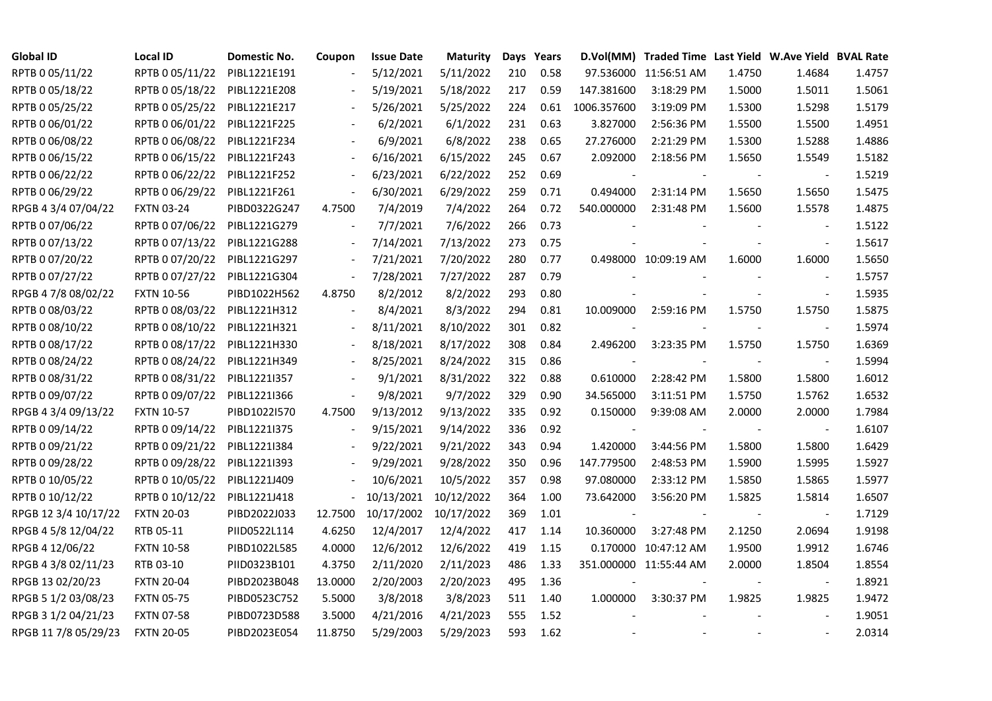| <b>Global ID</b>     | <b>Local ID</b>   | Domestic No. | Coupon                   | <b>Issue Date</b> | <b>Maturity</b>       |     | Days Years |                          | D.Vol(MM) Traded Time Last Yield W.Ave Yield BVAL Rate |        |                          |        |
|----------------------|-------------------|--------------|--------------------------|-------------------|-----------------------|-----|------------|--------------------------|--------------------------------------------------------|--------|--------------------------|--------|
| RPTB 0 05/11/22      | RPTB 0 05/11/22   | PIBL1221E191 |                          | 5/12/2021         | 5/11/2022             | 210 | 0.58       |                          | 97.536000 11:56:51 AM                                  | 1.4750 | 1.4684                   | 1.4757 |
| RPTB 0 05/18/22      | RPTB 0 05/18/22   | PIBL1221E208 |                          | 5/19/2021         | 5/18/2022             | 217 | 0.59       | 147.381600               | 3:18:29 PM                                             | 1.5000 | 1.5011                   | 1.5061 |
| RPTB 0 05/25/22      | RPTB 0 05/25/22   | PIBL1221E217 | $\overline{\phantom{a}}$ | 5/26/2021         | 5/25/2022             | 224 | 0.61       | 1006.357600              | 3:19:09 PM                                             | 1.5300 | 1.5298                   | 1.5179 |
| RPTB 0 06/01/22      | RPTB 0 06/01/22   | PIBL1221F225 | $\overline{\phantom{a}}$ | 6/2/2021          | 6/1/2022              | 231 | 0.63       | 3.827000                 | 2:56:36 PM                                             | 1.5500 | 1.5500                   | 1.4951 |
| RPTB 0 06/08/22      | RPTB 0 06/08/22   | PIBL1221F234 |                          | 6/9/2021          | 6/8/2022              | 238 | 0.65       | 27.276000                | 2:21:29 PM                                             | 1.5300 | 1.5288                   | 1.4886 |
| RPTB 0 06/15/22      | RPTB 0 06/15/22   | PIBL1221F243 | $\blacksquare$           | 6/16/2021         | 6/15/2022             | 245 | 0.67       | 2.092000                 | 2:18:56 PM                                             | 1.5650 | 1.5549                   | 1.5182 |
| RPTB 0 06/22/22      | RPTB 0 06/22/22   | PIBL1221F252 | $\blacksquare$           | 6/23/2021         | 6/22/2022             | 252 | 0.69       | $\overline{\phantom{a}}$ |                                                        |        | $\overline{\phantom{a}}$ | 1.5219 |
| RPTB 0 06/29/22      | RPTB 0 06/29/22   | PIBL1221F261 | $\overline{\phantom{a}}$ | 6/30/2021         | 6/29/2022             | 259 | 0.71       | 0.494000                 | 2:31:14 PM                                             | 1.5650 | 1.5650                   | 1.5475 |
| RPGB 4 3/4 07/04/22  | <b>FXTN 03-24</b> | PIBD0322G247 | 4.7500                   | 7/4/2019          | 7/4/2022              | 264 | 0.72       | 540.000000               | 2:31:48 PM                                             | 1.5600 | 1.5578                   | 1.4875 |
| RPTB 0 07/06/22      | RPTB 0 07/06/22   | PIBL1221G279 | $\overline{\phantom{a}}$ | 7/7/2021          | 7/6/2022              | 266 | 0.73       |                          |                                                        |        |                          | 1.5122 |
| RPTB 0 07/13/22      | RPTB 0 07/13/22   | PIBL1221G288 | $\overline{\phantom{a}}$ | 7/14/2021         | 7/13/2022             | 273 | 0.75       |                          |                                                        |        | $\blacksquare$           | 1.5617 |
| RPTB 0 07/20/22      | RPTB 0 07/20/22   | PIBL1221G297 | $\blacksquare$           | 7/21/2021         | 7/20/2022             | 280 | 0.77       |                          | 0.498000 10:09:19 AM                                   | 1.6000 | 1.6000                   | 1.5650 |
| RPTB 0 07/27/22      | RPTB 0 07/27/22   | PIBL1221G304 | $\blacksquare$           | 7/28/2021         | 7/27/2022             | 287 | 0.79       |                          |                                                        |        | $\blacksquare$           | 1.5757 |
| RPGB 4 7/8 08/02/22  | <b>FXTN 10-56</b> | PIBD1022H562 | 4.8750                   | 8/2/2012          | 8/2/2022              | 293 | 0.80       |                          |                                                        |        | $\blacksquare$           | 1.5935 |
| RPTB 0 08/03/22      | RPTB 0 08/03/22   | PIBL1221H312 |                          | 8/4/2021          | 8/3/2022              | 294 | 0.81       | 10.009000                | 2:59:16 PM                                             | 1.5750 | 1.5750                   | 1.5875 |
| RPTB 0 08/10/22      | RPTB 0 08/10/22   | PIBL1221H321 |                          | 8/11/2021         | 8/10/2022             | 301 | 0.82       |                          |                                                        |        |                          | 1.5974 |
| RPTB 0 08/17/22      | RPTB 0 08/17/22   | PIBL1221H330 | $\blacksquare$           | 8/18/2021         | 8/17/2022             | 308 | 0.84       | 2.496200                 | 3:23:35 PM                                             | 1.5750 | 1.5750                   | 1.6369 |
| RPTB 0 08/24/22      | RPTB 0 08/24/22   | PIBL1221H349 | $\overline{\phantom{a}}$ | 8/25/2021         | 8/24/2022             | 315 | 0.86       |                          |                                                        |        |                          | 1.5994 |
| RPTB 0 08/31/22      | RPTB 0 08/31/22   | PIBL1221I357 |                          | 9/1/2021          | 8/31/2022             | 322 | 0.88       | 0.610000                 | 2:28:42 PM                                             | 1.5800 | 1.5800                   | 1.6012 |
| RPTB 0 09/07/22      | RPTB 0 09/07/22   | PIBL1221I366 | $\overline{\phantom{a}}$ | 9/8/2021          | 9/7/2022              | 329 | 0.90       | 34.565000                | 3:11:51 PM                                             | 1.5750 | 1.5762                   | 1.6532 |
| RPGB 4 3/4 09/13/22  | <b>FXTN 10-57</b> | PIBD1022I570 | 4.7500                   | 9/13/2012         | 9/13/2022             | 335 | 0.92       | 0.150000                 | 9:39:08 AM                                             | 2.0000 | 2.0000                   | 1.7984 |
| RPTB 0 09/14/22      | RPTB 0 09/14/22   | PIBL1221I375 |                          | 9/15/2021         | 9/14/2022             | 336 | 0.92       |                          |                                                        |        | $\overline{\phantom{a}}$ | 1.6107 |
| RPTB 0 09/21/22      | RPTB 0 09/21/22   | PIBL1221I384 |                          | 9/22/2021         | 9/21/2022             | 343 | 0.94       | 1.420000                 | 3:44:56 PM                                             | 1.5800 | 1.5800                   | 1.6429 |
| RPTB 0 09/28/22      | RPTB 0 09/28/22   | PIBL1221I393 |                          | 9/29/2021         | 9/28/2022             | 350 | 0.96       | 147.779500               | 2:48:53 PM                                             | 1.5900 | 1.5995                   | 1.5927 |
| RPTB 0 10/05/22      | RPTB 0 10/05/22   | PIBL1221J409 | $\blacksquare$           | 10/6/2021         | 10/5/2022             | 357 | 0.98       | 97.080000                | 2:33:12 PM                                             | 1.5850 | 1.5865                   | 1.5977 |
| RPTB 0 10/12/22      | RPTB 0 10/12/22   | PIBL1221J418 | $\overline{\phantom{a}}$ | 10/13/2021        | 10/12/2022            | 364 | 1.00       | 73.642000                | 3:56:20 PM                                             | 1.5825 | 1.5814                   | 1.6507 |
| RPGB 12 3/4 10/17/22 | <b>FXTN 20-03</b> | PIBD2022J033 | 12.7500                  |                   | 10/17/2002 10/17/2022 | 369 | 1.01       |                          |                                                        |        | $\sim$                   | 1.7129 |
| RPGB 4 5/8 12/04/22  | RTB 05-11         | PIID0522L114 | 4.6250                   | 12/4/2017         | 12/4/2022             | 417 | 1.14       | 10.360000                | 3:27:48 PM                                             | 2.1250 | 2.0694                   | 1.9198 |
| RPGB 4 12/06/22      | <b>FXTN 10-58</b> | PIBD1022L585 | 4.0000                   | 12/6/2012         | 12/6/2022             | 419 | 1.15       |                          | 0.170000 10:47:12 AM                                   | 1.9500 | 1.9912                   | 1.6746 |
| RPGB 4 3/8 02/11/23  | RTB 03-10         | PIID0323B101 | 4.3750                   | 2/11/2020         | 2/11/2023             | 486 | 1.33       |                          | 351.000000 11:55:44 AM                                 | 2.0000 | 1.8504                   | 1.8554 |
| RPGB 13 02/20/23     | <b>FXTN 20-04</b> | PIBD2023B048 | 13.0000                  | 2/20/2003         | 2/20/2023             | 495 | 1.36       |                          |                                                        |        | $\sim$                   | 1.8921 |
| RPGB 5 1/2 03/08/23  | <b>FXTN 05-75</b> | PIBD0523C752 | 5.5000                   | 3/8/2018          | 3/8/2023              | 511 | 1.40       | 1.000000                 | 3:30:37 PM                                             | 1.9825 | 1.9825                   | 1.9472 |
| RPGB 3 1/2 04/21/23  | <b>FXTN 07-58</b> | PIBD0723D588 | 3.5000                   | 4/21/2016         | 4/21/2023             | 555 | 1.52       |                          |                                                        |        |                          | 1.9051 |
| RPGB 11 7/8 05/29/23 | <b>FXTN 20-05</b> | PIBD2023E054 | 11.8750                  | 5/29/2003         | 5/29/2023             | 593 | 1.62       |                          |                                                        |        | $\blacksquare$           | 2.0314 |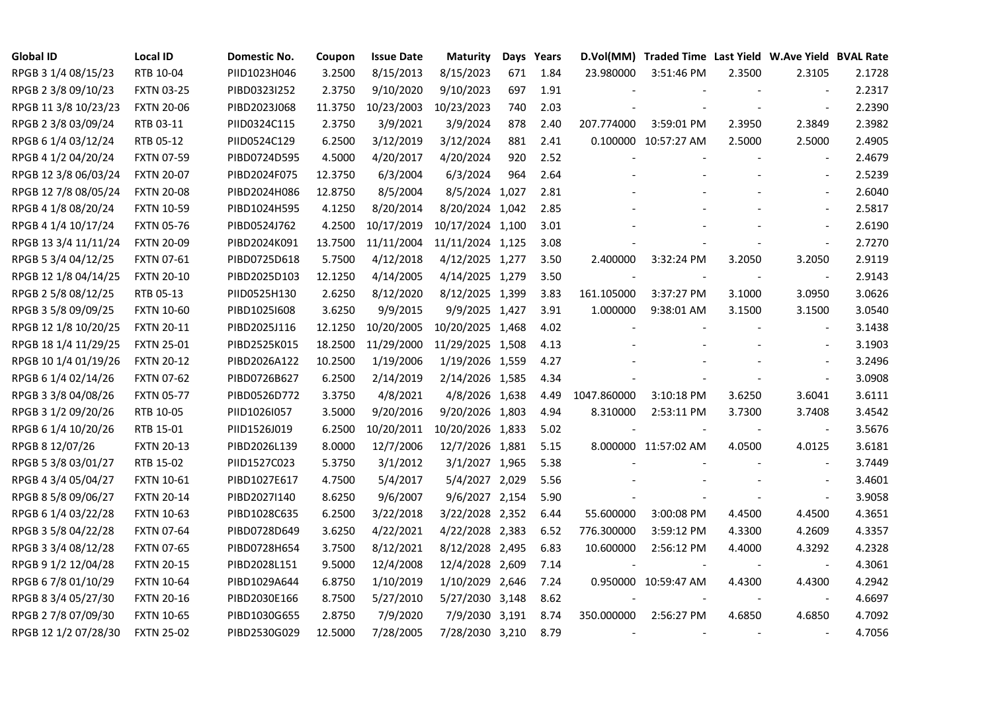| <b>Global ID</b>     | <b>Local ID</b>   | Domestic No. | Coupon  | <b>Issue Date</b> | <b>Maturity</b>  |     | Days Years |             | D.Vol(MM) Traded Time Last Yield W.Ave Yield BVAL Rate |        |                          |        |
|----------------------|-------------------|--------------|---------|-------------------|------------------|-----|------------|-------------|--------------------------------------------------------|--------|--------------------------|--------|
| RPGB 3 1/4 08/15/23  | RTB 10-04         | PIID1023H046 | 3.2500  | 8/15/2013         | 8/15/2023        | 671 | 1.84       | 23.980000   | 3:51:46 PM                                             | 2.3500 | 2.3105                   | 2.1728 |
| RPGB 2 3/8 09/10/23  | <b>FXTN 03-25</b> | PIBD0323I252 | 2.3750  | 9/10/2020         | 9/10/2023        | 697 | 1.91       |             |                                                        |        |                          | 2.2317 |
| RPGB 11 3/8 10/23/23 | <b>FXTN 20-06</b> | PIBD2023J068 | 11.3750 | 10/23/2003        | 10/23/2023       | 740 | 2.03       |             |                                                        |        | $\blacksquare$           | 2.2390 |
| RPGB 2 3/8 03/09/24  | RTB 03-11         | PIID0324C115 | 2.3750  | 3/9/2021          | 3/9/2024         | 878 | 2.40       | 207.774000  | 3:59:01 PM                                             | 2.3950 | 2.3849                   | 2.3982 |
| RPGB 6 1/4 03/12/24  | RTB 05-12         | PIID0524C129 | 6.2500  | 3/12/2019         | 3/12/2024        | 881 | 2.41       |             | 0.100000 10:57:27 AM                                   | 2.5000 | 2.5000                   | 2.4905 |
| RPGB 4 1/2 04/20/24  | <b>FXTN 07-59</b> | PIBD0724D595 | 4.5000  | 4/20/2017         | 4/20/2024        | 920 | 2.52       |             |                                                        |        | $\overline{\phantom{a}}$ | 2.4679 |
| RPGB 12 3/8 06/03/24 | <b>FXTN 20-07</b> | PIBD2024F075 | 12.3750 | 6/3/2004          | 6/3/2024         | 964 | 2.64       |             |                                                        |        | $\sim$                   | 2.5239 |
| RPGB 12 7/8 08/05/24 | <b>FXTN 20-08</b> | PIBD2024H086 | 12.8750 | 8/5/2004          | 8/5/2024 1,027   |     | 2.81       |             |                                                        |        | $\sim$                   | 2.6040 |
| RPGB 4 1/8 08/20/24  | <b>FXTN 10-59</b> | PIBD1024H595 | 4.1250  | 8/20/2014         | 8/20/2024 1,042  |     | 2.85       |             |                                                        |        | $\sim$                   | 2.5817 |
| RPGB 4 1/4 10/17/24  | <b>FXTN 05-76</b> | PIBD0524J762 | 4.2500  | 10/17/2019        | 10/17/2024 1,100 |     | 3.01       |             |                                                        |        | $\sim$                   | 2.6190 |
| RPGB 13 3/4 11/11/24 | <b>FXTN 20-09</b> | PIBD2024K091 | 13.7500 | 11/11/2004        | 11/11/2024 1,125 |     | 3.08       |             |                                                        |        | $\overline{\phantom{a}}$ | 2.7270 |
| RPGB 5 3/4 04/12/25  | <b>FXTN 07-61</b> | PIBD0725D618 | 5.7500  | 4/12/2018         | 4/12/2025 1,277  |     | 3.50       | 2.400000    | 3:32:24 PM                                             | 3.2050 | 3.2050                   | 2.9119 |
| RPGB 12 1/8 04/14/25 | <b>FXTN 20-10</b> | PIBD2025D103 | 12.1250 | 4/14/2005         | 4/14/2025 1,279  |     | 3.50       |             |                                                        |        | $\blacksquare$           | 2.9143 |
| RPGB 2 5/8 08/12/25  | RTB 05-13         | PIID0525H130 | 2.6250  | 8/12/2020         | 8/12/2025 1,399  |     | 3.83       | 161.105000  | 3:37:27 PM                                             | 3.1000 | 3.0950                   | 3.0626 |
| RPGB 3 5/8 09/09/25  | <b>FXTN 10-60</b> | PIBD10251608 | 3.6250  | 9/9/2015          | 9/9/2025 1,427   |     | 3.91       | 1.000000    | 9:38:01 AM                                             | 3.1500 | 3.1500                   | 3.0540 |
| RPGB 12 1/8 10/20/25 | <b>FXTN 20-11</b> | PIBD2025J116 | 12.1250 | 10/20/2005        | 10/20/2025 1,468 |     | 4.02       |             |                                                        |        |                          | 3.1438 |
| RPGB 18 1/4 11/29/25 | <b>FXTN 25-01</b> | PIBD2525K015 | 18.2500 | 11/29/2000        | 11/29/2025 1,508 |     | 4.13       |             |                                                        |        | $\sim$                   | 3.1903 |
| RPGB 10 1/4 01/19/26 | <b>FXTN 20-12</b> | PIBD2026A122 | 10.2500 | 1/19/2006         | 1/19/2026 1,559  |     | 4.27       |             |                                                        |        | $\sim$                   | 3.2496 |
| RPGB 6 1/4 02/14/26  | <b>FXTN 07-62</b> | PIBD0726B627 | 6.2500  | 2/14/2019         | 2/14/2026 1,585  |     | 4.34       |             |                                                        |        | $\blacksquare$           | 3.0908 |
| RPGB 3 3/8 04/08/26  | <b>FXTN 05-77</b> | PIBD0526D772 | 3.3750  | 4/8/2021          | 4/8/2026 1,638   |     | 4.49       | 1047.860000 | 3:10:18 PM                                             | 3.6250 | 3.6041                   | 3.6111 |
| RPGB 3 1/2 09/20/26  | RTB 10-05         | PIID1026I057 | 3.5000  | 9/20/2016         | 9/20/2026 1,803  |     | 4.94       | 8.310000    | 2:53:11 PM                                             | 3.7300 | 3.7408                   | 3.4542 |
| RPGB 6 1/4 10/20/26  | RTB 15-01         | PIID1526J019 | 6.2500  | 10/20/2011        | 10/20/2026 1,833 |     | 5.02       |             |                                                        |        | $\overline{\phantom{a}}$ | 3.5676 |
| RPGB 8 12/07/26      | <b>FXTN 20-13</b> | PIBD2026L139 | 8.0000  | 12/7/2006         | 12/7/2026 1,881  |     | 5.15       |             | 8.000000 11:57:02 AM                                   | 4.0500 | 4.0125                   | 3.6181 |
| RPGB 5 3/8 03/01/27  | RTB 15-02         | PIID1527C023 | 5.3750  | 3/1/2012          | 3/1/2027 1,965   |     | 5.38       |             |                                                        |        | $\sim$                   | 3.7449 |
| RPGB 4 3/4 05/04/27  | <b>FXTN 10-61</b> | PIBD1027E617 | 4.7500  | 5/4/2017          | 5/4/2027 2,029   |     | 5.56       |             |                                                        |        | $\sim$                   | 3.4601 |
| RPGB 8 5/8 09/06/27  | <b>FXTN 20-14</b> | PIBD2027I140 | 8.6250  | 9/6/2007          | 9/6/2027 2,154   |     | 5.90       |             |                                                        |        | $\blacksquare$           | 3.9058 |
| RPGB 6 1/4 03/22/28  | <b>FXTN 10-63</b> | PIBD1028C635 | 6.2500  | 3/22/2018         | 3/22/2028 2,352  |     | 6.44       | 55.600000   | 3:00:08 PM                                             | 4.4500 | 4.4500                   | 4.3651 |
| RPGB 3 5/8 04/22/28  | <b>FXTN 07-64</b> | PIBD0728D649 | 3.6250  | 4/22/2021         | 4/22/2028 2,383  |     | 6.52       | 776.300000  | 3:59:12 PM                                             | 4.3300 | 4.2609                   | 4.3357 |
| RPGB 3 3/4 08/12/28  | <b>FXTN 07-65</b> | PIBD0728H654 | 3.7500  | 8/12/2021         | 8/12/2028 2,495  |     | 6.83       | 10.600000   | 2:56:12 PM                                             | 4.4000 | 4.3292                   | 4.2328 |
| RPGB 9 1/2 12/04/28  | <b>FXTN 20-15</b> | PIBD2028L151 | 9.5000  | 12/4/2008         | 12/4/2028 2,609  |     | 7.14       |             |                                                        |        |                          | 4.3061 |
| RPGB 67/8 01/10/29   | <b>FXTN 10-64</b> | PIBD1029A644 | 6.8750  | 1/10/2019         | 1/10/2029 2,646  |     | 7.24       |             | 0.950000 10:59:47 AM                                   | 4.4300 | 4.4300                   | 4.2942 |
| RPGB 8 3/4 05/27/30  | <b>FXTN 20-16</b> | PIBD2030E166 | 8.7500  | 5/27/2010         | 5/27/2030 3,148  |     | 8.62       |             |                                                        |        | $\blacksquare$           | 4.6697 |
| RPGB 2 7/8 07/09/30  | <b>FXTN 10-65</b> | PIBD1030G655 | 2.8750  | 7/9/2020          | 7/9/2030 3,191   |     | 8.74       | 350.000000  | 2:56:27 PM                                             | 4.6850 | 4.6850                   | 4.7092 |
| RPGB 12 1/2 07/28/30 | <b>FXTN 25-02</b> | PIBD2530G029 | 12.5000 | 7/28/2005         | 7/28/2030 3,210  |     | 8.79       |             |                                                        |        | $\overline{\phantom{a}}$ | 4.7056 |